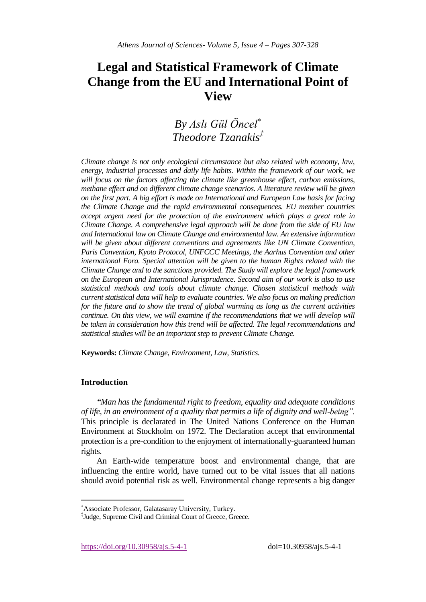# **Legal and Statistical Framework of Climate Change from the EU and International Point of View**

*By Aslı Gül Öncel Theodore Tzanakis‡*

*Climate change is not only ecological circumstance but also related with economy, law, energy, industrial processes and daily life habits. Within the framework of our work, we will focus on the factors affecting the climate like greenhouse effect, carbon emissions, methane effect and on different climate change scenarios. A literature review will be given on the first part. A big effort is made on International and European Law basis for facing the Climate Change and the rapid environmental consequences. EU member countries accept urgent need for the protection of the environment which plays a great role in Climate Change. A comprehensive legal approach will be done from the side of EU law and International law on Climate Change and environmental law. An extensive information* will be given about different conventions and agreements like UN Climate Convention, *Paris Convention, Kyoto Protocol, UNFCCC Meetings, the Aarhus Convention and other international Fora. Special attention will be given to the human Rights related with the Climate Change and to the sanctions provided. The Study will explore the legal framework on the European and International Jurisprudence. Second aim of our work is also to use statistical methods and tools about climate change. Chosen statistical methods with current statistical data will help to evaluate countries. We also focus on making prediction for the future and to show the trend of global warming as long as the current activities continue. On this view, we will examine if the recommendations that we will develop will be taken in consideration how this trend will be affected. The legal recommendations and statistical studies will be an important step to prevent Climate Change.*

**Keywords:** *Climate Change, Environment, Law, Statistics.*

# **Introduction**

 $\overline{\phantom{a}}$ 

*"Man has the fundamental right to freedom, equality and adequate conditions of life, in an environment of a quality that permits a life of dignity and well-being".* This principle is declarated in The United Nations Conference on the Human Environment at Stockholm on 1972. The Declaration accept that environmental protection is a pre-condition to the enjoyment of internationally-guaranteed human rights.

An Earth-wide temperature boost and environmental change, that are influencing the entire world, have turned out to be vital issues that all nations should avoid potential risk as well. Environmental change represents a big danger

Associate Professor, Galatasaray University, Turkey.

<sup>‡</sup> Judge, Supreme Civil and Criminal Court of Greece, Greece.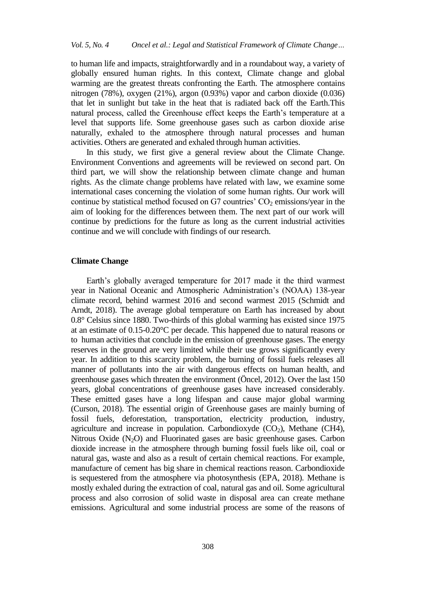to human life and impacts, straightforwardly and in a roundabout way, a variety of globally ensured human rights. In this context, Climate change and global warming are the greatest threats confronting the Earth. The atmosphere contains nitrogen (78%), oxygen (21%), argon (0.93%) vapor and carbon dioxide (0.036) that let in sunlight but take in the heat that is radiated back off the Earth.This natural process, called the Greenhouse effect keeps the Earth's temperature at a level that supports life. Some greenhouse gases such as carbon dioxide arise naturally, exhaled to the atmosphere through natural processes and human activities. Others are generated and exhaled through human activities.

In this study, we first give a general review about the Climate Change. Environment Conventions and agreements will be reviewed on second part. On third part, we will show the relationship between climate change and human rights. As the climate change problems have related with law, we examine some international cases concerning the violation of some human rights. Our work will continue by statistical method focused on G7 countries'  $CO<sub>2</sub>$  emissions/year in the aim of looking for the differences between them. The next part of our work will continue by predictions for the future as long as the current industrial activities continue and we will conclude with findings of our research.

# **Climate Change**

Earth's globally averaged temperature for 2017 made it the third warmest year in National Oceanic and Atmospheric Administration's (NOAA) 138-year climate record, behind warmest 2016 and second warmest 2015 (Schmidt and Arndt, 2018). The average global temperature on Earth has increased by about 0.8° Celsius since 1880. Two-thirds of this global warming has existed since 1975 at an estimate of 0.15-0.20°C per decade. This happened due to natural reasons or to human activities that conclude in the emission of greenhouse gases. The energy reserves in the ground are very limited while their use grows significantly every year. In addition to this scarcity problem, the burning of fossil fuels releases all manner of pollutants into the air with dangerous effects on human health, and greenhouse gases which threaten the environment (Öncel, 2012). Over the last 150 years, global concentrations of greenhouse gases have increased considerably. These emitted gases have a long lifespan and cause major global warming (Curson, 2018). The essential origin of Greenhouse gases are mainly burning of fossil fuels, deforestation, transportation, electricity production, industry, agriculture and increase in population. Carbondioxyde  $(CO<sub>2</sub>)$ , Methane  $(CH4)$ , Nitrous Oxide  $(N_2O)$  and Fluorinated gases are basic greenhouse gases. Carbon dioxide increase in the atmosphere through burning fossil fuels like oil, coal or natural gas, waste and also as a result of certain chemical reactions. For example, manufacture of cement has big share in chemical reactions reason. Carbondioxide is sequestered from the atmosphere via photosynthesis (EPA, 2018). Methane is mostly exhaled during the extraction of coal, natural gas and oil. Some agricultural process and also corrosion of solid waste in disposal area can create methane emissions. Agricultural and some industrial process are some of the reasons of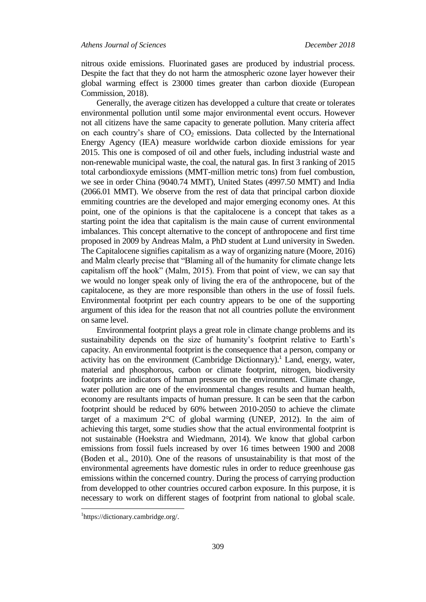nitrous oxide emissions. Fluorinated gases are produced by industrial process. Despite the fact that they do not harm the atmospheric ozone layer however their global warming effect is 23000 times greater than carbon dioxide (European Commission, 2018).

Generally, the average citizen has developped a culture that create or tolerates environmental pollution until some major environmental event occurs. However not all citizens have the same capacity to generate pollution. Many criteria affect on each country's share of  $CO<sub>2</sub>$  emissions. Data collected by the International Energy Agency (IEA) measure worldwide carbon dioxide emissions for year 2015. This one is composed of oil and other fuels, including industrial waste and non-renewable municipal waste, the coal, the natural gas. In first 3 ranking of 2015 total carbondioxyde emissions (MMT-million metric tons) from fuel combustion, we see in order China (9040.74 MMT), United States (4997.50 MMT) and India (2066.01 MMT). We observe from the rest of data that principal carbon dioxide emmiting countries are the developed and major emerging economy ones. At this point, one of the opinions is that the capitalocene is a concept that takes as a starting point the idea that capitalism is the main cause of current environmental imbalances. This concept alternative to the concept of anthropocene and first time proposed in 2009 by Andreas Malm, a PhD student at Lund university in Sweden. The Capitalocene signifies capitalism as a way of organizing nature (Moore, 2016) and Malm clearly precise that "Blaming all of the humanity for climate change lets capitalism off the hook" (Malm, 2015). From that point of view, we can say that we would no longer speak only of living the era of the anthropocene, but of the capitalocene, as they are more responsible than others in the use of fossil fuels. Environmental footprint per each country appears to be one of the supporting argument of this idea for the reason that not all countries pollute the environment on same level.

Environmental footprint plays a great role in climate change problems and its sustainability depends on the size of humanity's footprint relative to Earth's capacity. An environmental footprint is the consequence that a person, company or activity has on the environment (Cambridge Dictionnary).<sup>1</sup> Land, energy, water, material and phosphorous, carbon or climate footprint, nitrogen, biodiversity footprints are indicators of human pressure on the environment. Climate change, water pollution are one of the environmental changes results and human health, economy are resultants impacts of human pressure. It can be seen that the carbon footprint should be reduced by 60% between 2010-2050 to achieve the climate target of a maximum  $2^{\circ}$ C of global warming (UNEP, 2012). In the aim of achieving this target, some studies show that the actual environmental footprint is not sustainable (Hoekstra and Wiedmann, 2014). We know that global carbon emissions from fossil fuels increased by over 16 times between 1900 and 2008 (Boden et al., 2010). One of the reasons of unsustainability is that most of the environmental agreements have domestic rules in order to reduce greenhouse gas emissions within the concerned country. During the process of carrying production from developped to other countries occured carbon exposure. In this purpose, it is necessary to work on different stages of footprint from national to global scale.

<sup>1</sup> https://dictionary.cambridge.org/.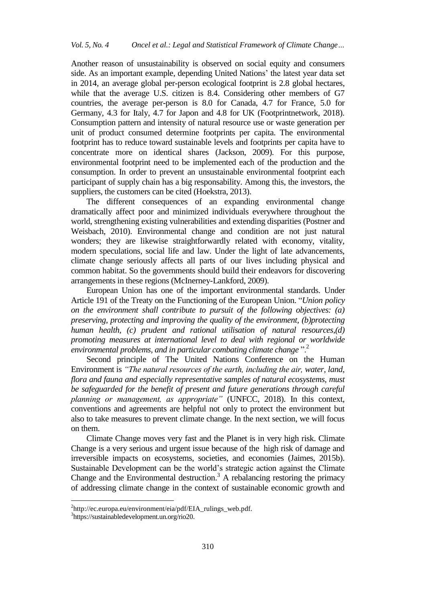Another reason of unsustainability is observed on social equity and consumers side. As an important example, depending United Nations' the latest year data set in 2014, an average global per-person ecological footprint is 2.8 global hectares, while that the average U.S. citizen is 8.4. Considering other members of G7 countries, the average per-person is 8.0 for Canada, 4.7 for France, 5.0 for Germany, 4.3 for Italy, 4.7 for Japon and 4.8 for UK (Footprintnetwork, 2018). Consumption pattern and intensity of natural resource use or waste generation per unit of product consumed determine footprints per capita. The environmental footprint has to reduce toward sustainable levels and footprints per capita have to concentrate more on identical shares (Jackson, 2009). For this purpose, environmental footprint need to be implemented each of the production and the consumption. In order to prevent an unsustainable environmental footprint each participant of supply chain has a big responsability. Among this, the investors, the suppliers, the customers can be cited (Hoekstra, 2013).

The different consequences of an expanding environmental change dramatically affect poor and minimized individuals everywhere throughout the world, strengthening existing vulnerabilities and extending disparities (Postner and Weisbach, 2010). Environmental change and condition are not just natural wonders; they are likewise straightforwardly related with economy, vitality, modern speculations, social life and law. Under the light of late advancements, climate change seriously affects all parts of our lives including physical and common habitat. So the governments should build their endeavors for discovering arrangements in these regions (McInerney-Lankford, 2009).

European Union has one of the important environmental standards. Under Article 191 of the Treaty on the Functioning of the European Union. "*Union policy on the environment shall contribute to pursuit of the following objectives: (a) preserving, protecting and improving the quality of the environment, (b)protecting human health, (c) prudent and rational utilisation of natural resources,(d) promoting measures at international level to deal with regional or worldwide environmental problems, and in particular combating climate change* ".<sup>2</sup>

Second principle of The United Nations Conference on the Human Environment is *"The natural resources of the earth, including the air, water, land, flora and fauna and especially representative samples of natural ecosystems, must be safeguarded for the benefit of present and future generations through careful planning or management, as appropriate"* (UNFCC, 2018). In this context, conventions and agreements are helpful not only to protect the environment but also to take measures to prevent climate change. In the next section, we will focus on them.

Climate Change moves very fast and the Planet is in very high risk. Climate Change is a very serious and urgent issue because of the high risk of damage and irreversible impacts on ecosystems, societies, and economies (Jaimes, 2015b). Sustainable Development can be the world's strategic action against the Climate Change and the Environmental destruction.<sup>3</sup> A rebalancing restoring the primacy of addressing climate change in the context of sustainable economic growth and

<sup>&</sup>lt;sup>2</sup>http://ec.europa.eu/environment/eia/pdf/EIA\_rulings\_web.pdf.

<sup>3</sup> https://sustainabledevelopment.un.org/rio20.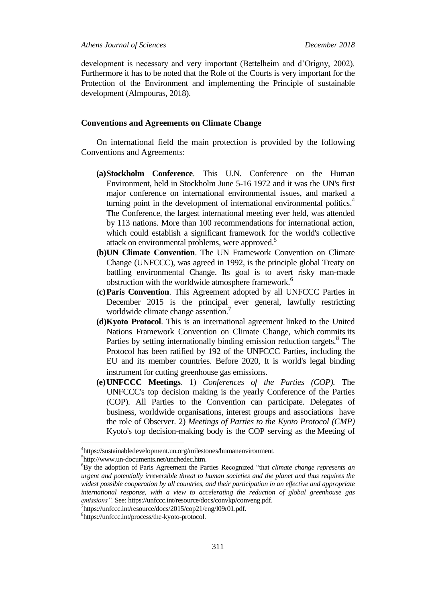development is necessary and very important (Bettelheim and d'Origny, 2002). Furthermore it has to be noted that the Role of the Courts is very important for the Protection of the Environment and implementing the Principle of sustainable development (Almpouras, 2018).

# **Conventions and Agreements on Climate Change**

On international field the main protection is provided by the following Conventions and Agreements:

- **(a)Stockholm Conference**. This U.N. Conference on the Human Environment, held in Stockholm June 5-16 1972 and it was the UN's first major conference on international environmental issues, and marked a turning point in the development of international environmental politics.<sup>4</sup> The Conference, the largest international meeting ever held, was attended by 113 nations. More than 100 recommendations for international action, which could establish a significant framework for the world's collective attack on environmental problems, were approved.<sup>5</sup>
- **(b)UN Climate Convention**. The UN Framework Convention on Climate Change (UNFCCC), was agreed in 1992, is the principle global Treaty on battling environmental Change. Its goal is to avert risky man-made obstruction with the worldwide atmosphere framework.<sup>6</sup>
- **(c)Paris Convention**. This Agreement adopted by all UNFCCC Parties in December 2015 is the principal ever general, lawfully restricting worldwide climate change assention.<sup>7</sup>
- **(d)Kyoto Protocol**. This is an international agreement linked to the United Nations Framework Convention on Climate Change, which commits its Parties by setting internationally binding emission reduction targets.<sup>8</sup> The Protocol has been ratified by 192 of the UNFCCC Parties, including the EU and its member countries. Before 2020, It is world's legal binding instrument for cutting greenhouse gas emissions.
- **(e)UNFCCC Meetings**. 1) *Conferences of the Parties (COP).* The UNFCCC's top decision making is the yearly Conference of the Parties (COP). All Parties to the Convention can participate. Delegates of business, worldwide organisations, interest groups and associations have the role of Observer. 2) *Meetings of Parties to the Kyoto Protocol (CMP)*  Kyoto's top decision-making body is the COP serving as the [Meeting of](http://unfccc.int/bodies/body/6397.php)

<sup>4</sup> https://sustainabledevelopment.un.org/milestones/humanenvironment.

<sup>5</sup> http://www.un-documents.net/unchedec.htm.

<sup>6</sup>By the adoption of Paris Agreement the Parties Recognized "that *climate change represents an urgent and potentially irreversible threat to human societies and the planet and thus requires the widest possible cooperation by all countries, and their participation in an effective and appropriate international response, with a view to accelerating the reduction of global greenhouse gas emissions".* See: https://unfccc.int/resource/docs/convkp/conveng.pdf.

<sup>7</sup> https://unfccc.int/resource/docs/2015/cop21/eng/l09r01.pdf.

<sup>8</sup> https://unfccc.int/process/the-kyoto-protocol.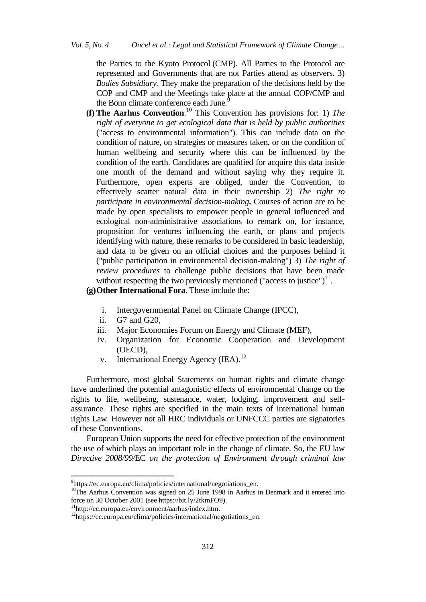[the Parties to the Kyoto Protocol](http://unfccc.int/bodies/body/6397.php) (CMP). All Parties to the Protocol are represented and Governments that are not Parties attend as observers. 3) *Bodies Subsidiary.* They make the preparation of the decisions held by the COP and CMP and the Meetings take place at the annual COP/CMP and the Bonn climate conference each June.<sup>9</sup>

**(f) The Aarhus Convention**. <sup>10</sup> This Convention has provisions for: 1) *The right of everyone to get ecological data that is held by public authorities*  ("access to environmental information"). This can include data on the condition of nature, on strategies or measures taken, or on the condition of human wellbeing and security where this can be influenced by the condition of the earth. Candidates are qualified for acquire this data inside one month of the demand and without saying why they require it. Furthermore, open experts are obliged, under the Convention, to effectively scatter natural data in their ownership 2) *The right to participate in environmental decision-making***.** Courses of action are to be made by open specialists to empower people in general influenced and ecological non-administrative associations to remark on, for instance, proposition for ventures influencing the earth, or plans and projects identifying with nature, these remarks to be considered in basic leadership, and data to be given on an official choices and the purposes behind it ("public participation in environmental decision-making") 3) *The right of review procedures* to challenge public decisions that have been made without respecting the two previously mentioned ("access to justice") $^{11}$ .

**(g)Other International Fora**. These include the:

- i. Intergovernmental Panel on Climate Change (IPCC),
- ii. G7 and G20,
- iii. Major Economies Forum on Energy and Climate (MEF),
- iv. Organization for Economic Cooperation and Development (OECD),
- v. International Energy Agency (IEA).<sup>12</sup>

Furthermore, most global Statements on human rights and climate change have underlined the potential antagonistic effects of environmental change on the rights to life, wellbeing, sustenance, water, lodging, improvement and selfassurance. These rights are specified in the main texts of international human rights Law. However not all HRC individuals or UNFCCC parties are signatories of these Conventions.

European Union supports the need for effective protection of the environment the use of which plays an important role in the change of climate. So, the EU law *Directive 2008/99/*EC *on the protection of Environment through criminal law*

 $\ddot{\phantom{a}}$ 

<sup>9</sup> https://ec.europa.eu/clima/policies/international/negotiations\_en.

<sup>&</sup>lt;sup>10</sup>The Aarhus Convention was signed on 25 June 1998 in Aarhus in Denmark and it entered into force on 30 October 2001 (see https://bit.ly/2tkmFO9).

<sup>11</sup>http://ec.europa.eu/environment/aarhus/index.htm.

<sup>12</sup>https://ec.europa.eu/clima/policies/international/negotiations\_en.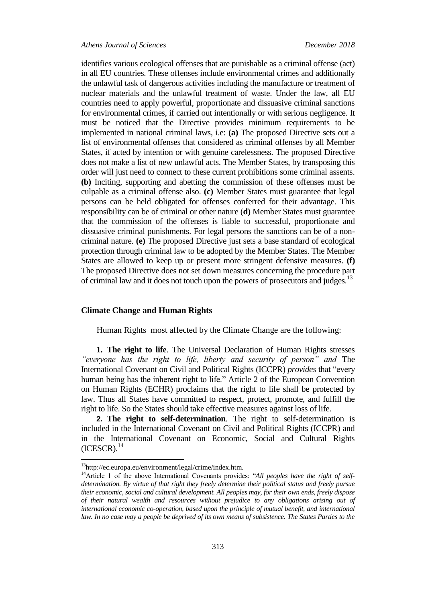## *Athens Journal of Sciences December 2018*

identifies various ecological offenses that are punishable as a criminal offense (act) in all EU countries. These offenses include environmental crimes and additionally the unlawful task of dangerous activities including the manufacture or treatment of nuclear materials and the unlawful treatment of waste. Under the law, all EU countries need to apply powerful, proportionate and dissuasive criminal sanctions for environmental crimes, if carried out intentionally or with serious negligence. It must be noticed that the Directive provides minimum requirements to be implemented in national criminal laws, i.e: **(a)** The proposed Directive sets out a list of environmental offenses that considered as criminal offenses by all Member States, if acted by intention or with genuine carelessness. The proposed Directive does not make a list of new unlawful acts. The Member States, by transposing this order will just need to connect to these current prohibitions some criminal assents. **(b)** Inciting, supporting and abetting the commission of these offenses must be culpable as a criminal offense also. **(c)** Member States must guarantee that legal persons can be held obligated for offenses conferred for their advantage. This responsibility can be of criminal or other nature (**d)** Member States must guarantee that the commission of the offenses is liable to successful, proportionate and dissuasive criminal punishments. For legal persons the sanctions can be of a noncriminal nature. **(e)** The proposed Directive just sets a base standard of ecological protection through criminal law to be adopted by the Member States. The Member States are allowed to keep up or present more stringent defensive measures. **(f)** The proposed Directive does not set down measures concerning the procedure part of criminal law and it does not touch upon the powers of prosecutors and judges.<sup>13</sup>

# **Climate Change and Human Rights**

Human Rights most affected by the Climate Change are the following:

**1. The right to life**. The Universal Declaration of Human Rights stresses *"everyone has the right to life, liberty and security of person" and* The International Covenant on Civil and Political Rights (ICCPR) *provides* that "every human being has the inherent right to life." Article 2 of the European Convention on Human Rights (ECHR) proclaims that the right to life shall be protected by law. Thus all States have committed to respect, protect, promote, and fulfill the right to life. So the States should take effective measures against loss of life.

**2. The right to self-determination**. The right to self-determination is included in the International Covenant on Civil and Political Rights (ICCPR) and in the International Covenant on Economic, Social and Cultural Rights  $(ICESCR).$ <sup>14</sup>

<sup>&</sup>lt;sup>13</sup>http://ec.europa.eu/environment/legal/crime/index.htm.

<sup>&</sup>lt;sup>14</sup>Article 1 of the above International Covenants provides: "All peoples have the right of self*determination. By virtue of that right they freely determine their political status and freely pursue their economic, social and cultural development. All peoples may, for their own ends, freely dispose of their natural wealth and resources without prejudice to any obligations arising out of international economic co-operation, based upon the principle of mutual benefit, and international*  law. In no case may a people be deprived of its own means of subsistence. The States Parties to the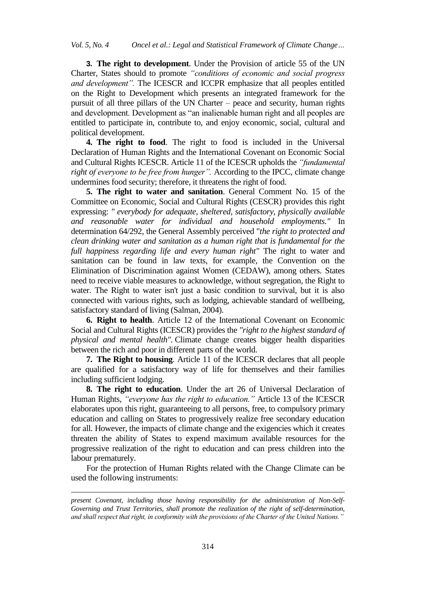**3. The right to development**. Under the Provision of article 55 of the UN Charter, States should to promote *"conditions of economic and social progress and development".* The ICESCR and ICCPR emphasize that all peoples entitled on the Right to Development which presents an integrated framework for the pursuit of all three pillars of the UN Charter – peace and security, human rights and development. Development as "an inalienable human right and all peoples are entitled to participate in, contribute to, and enjoy economic, social, cultural and political development.

**4. The right to food**. The right to food is included in the Universal Declaration of Human Rights and the International Covenant on Economic Social and Cultural Rights ICESCR. Article 11 of the ICESCR upholds the *"fundamental right of everyone to be free from hunger".* According to the IPCC, climate change undermines food security; therefore, it threatens the right of food.

**5. The right to water and sanitation**. General Comment No. 15 of the Committee on Economic, Social and Cultural Rights (CESCR) provides this right expressing: *" everybody for adequate, sheltered, satisfactory, physically available and reasonable water for individual and household employments."* In determination 64/292, the General Assembly perceived "*the right to protected and clean drinking water and sanitation as a human right that is fundamental for the full happiness regarding life and every human right"* The right to water and sanitation can be found in law texts, for example, the Convention on the Elimination of Discrimination against Women (CEDAW), among others. States need to receive viable measures to acknowledge, without segregation, the Right to water. The Right to water isn't just a basic condition to survival, but it is also connected with various rights, such as lodging, achievable standard of wellbeing, satisfactory standard of living (Salman, 2004).

**6. Right to health**. Article 12 of the International Covenant on Economic Social and Cultural Rights (ICESCR) provides the *"right to the highest standard of physical and mental health".* Climate change creates bigger health disparities between the rich and poor in different parts of the world.

**7. The Right to housing**. Article 11 of the ICESCR declares that all people are qualified for a satisfactory way of life for themselves and their families including sufficient lodging.

**8. The right to education**. Under the art 26 of Universal Declaration of Human Rights, *"everyone has the right to education."* Article 13 of the ICESCR elaborates upon this right, guaranteeing to all persons, free, to compulsory primary education and calling on States to progressively realize free secondary education for all. However, the impacts of climate change and the exigencies which it creates threaten the ability of States to expend maximum available resources for the progressive realization of the right to education and can press children into the labour prematurely.

For the protection of Human Rights related with the Change Climate can be used the following instruments:

1

*present Covenant, including those having responsibility for the administration of Non-Self-Governing and Trust Territories, shall promote the realization of the right of self-determination, and shall respect that right, in conformity with the provisions of the Charter of the United Nations."*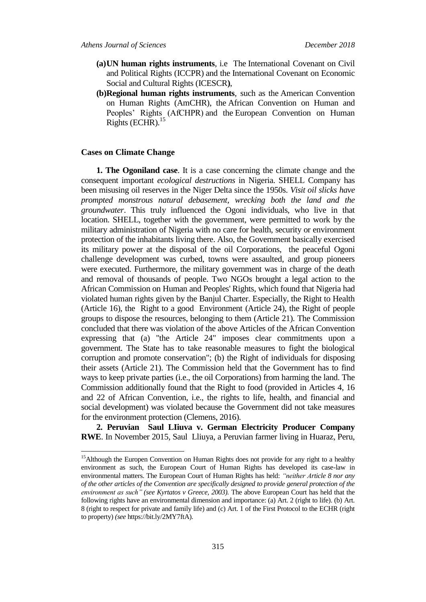- **(a)UN human rights instruments**, i.e Τhe International Covenant on Civil and Political Rights (ICCPR) and the International Covenant on Economic Social and Cultural Rights (ICESCR**)**,
- **(b)Regional human rights instruments**, such as the American Convention on Human Rights (AmCHR), the African Convention on Human and Peoples' Rights (AfCHPR) and the European Convention on Human Rights (ECHR).<sup>15</sup>

# **Cases on Climate Change**

 $\overline{a}$ 

**1. The Ogoniland case**. It is a case concerning the climate change and the consequent important *ecological destructions* in Nigeria. SHELL Company has been misusing oil reserves in the Niger Delta since the 1950s. *Visit oil slicks have prompted monstrous natural debasement, wrecking both the land and the groundwater*. This truly influenced the Ogoni individuals, who live in that location. SHELL, together with the government, were permitted to work by the military administration of Nigeria with no care for health, security or environment protection of the inhabitants living there. Also, the Government basically exercised its military power at the disposal of the oil Corporations, the peaceful Ogoni challenge development was curbed, towns were assaulted, and group pioneers were executed. Furthermore, the military government was in charge of the death and removal of thousands of people. Two NGOs brought a legal action to the African Commission on Human and Peoples' Rights, which found that Nigeria had violated human rights given by the Banjul Charter. Especially, the Right to Health (Article 16), the Right to a good Environment (Article 24), the Right of people groups to dispose the resources, belonging to them (Article 21). The Commission concluded that there was violation of the above Articles of the African Convention expressing that (a) "the Article 24" imposes clear commitments upon a government. The State has to take reasonable measures to fight the biological corruption and promote conservation"; (b) the Right of individuals for disposing their assets (Article 21). The Commission held that the Government has to find ways to keep private parties (i.e., the oil Corporations) from harming the land. The Commission additionally found that the Right to food (provided in Articles 4, 16 and 22 of African Convention, i.e., the rights to life, health, and financial and social development) was violated because the Government did not take measures for the environment protection (Clemens, 2016).

**2. Peruvian Saul LIiuva v. German Electricity Producer Company RWE**. In November 2015, Saul Lliuya, a Peruvian farmer living in Huaraz, Peru,

<sup>&</sup>lt;sup>15</sup> Although the Europen Convention on Human Rights does not provide for any right to a healthy environment as such, the European Court of Human Rights has developed its case-law in environmental matters. The European Court of Human Rights has held: *"neither Article 8 nor any of the other articles of the Convention are specifically designed to provide general protection of the environment as such" (see Kyrtatos v Greece, 2003).* The above European Court has held that the following rights have an environmental dimension and importance: (a) Art. 2 (right to life). (b) Art. 8 (right to respect for private and family life) and (c) Art. 1 of the First Protocol to the ECHR (right to property) *(see* https://bit.ly/2MY7ftA).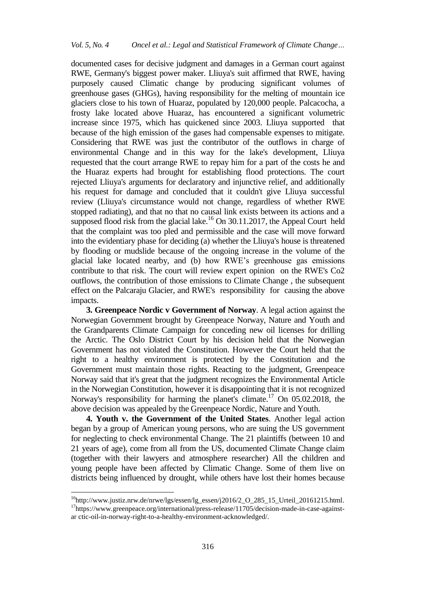documented cases for decisive judgment and damages in a German court against RWE, Germany's biggest power maker. Lliuya's suit affirmed that RWE, having purposely caused Climatic change by producing significant volumes of greenhouse gases (GHGs), having responsibility for the melting of mountain ice glaciers close to his town of Huaraz, populated by 120,000 people. Palcacocha, a frosty lake located above Huaraz, has encountered a significant volumetric increase since 1975, which has quickened since 2003. Lliuya supported that because of the high emission of the gases had compensable expenses to mitigate. Considering that RWE was just the contributor of the outflows in charge of environmental Change and in this way for the lake's development, Lliuya requested that the court arrange RWE to repay him for a part of the costs he and the Huaraz experts had brought for establishing flood protections. The court rejected Lliuya's arguments for declaratory and injunctive relief, and additionally his request for damage and concluded that it couldn't give Lliuya successful review (Lliuya's circumstance would not change, regardless of whether RWE stopped radiating), and that no that no causal link exists between its actions and a supposed flood risk from the glacial lake.<sup>16</sup> On 30.11.2017, the Appeal Court held that the complaint was too pled and permissible and the case will move forward into the evidentiary phase for deciding (a) whether the Lliuya's house is threatened by flooding or mudslide because of the ongoing increase in the volume of the glacial lake located nearby, and (b) how RWE's greenhouse gas emissions contribute to that risk. The court will review expert opinion on the RWE's Co2 outflows, the contribution of those emissions to Climate Change , the subsequent effect on the Palcaraju Glacier, and RWE's responsibility for causing the above impacts.

**3. Greenpeace Nordic v Government of Norway**. A legal action against the Norwegian Government brought by Greenpeace Norway, Nature and Youth and the Grandparents Climate Campaign for conceding new oil licenses for drilling the Arctic. The Oslo District Court by his decision held that the Norwegian Government has not violated the Constitution. However the Court held that the right to a healthy environment is protected by the Constitution and the Government must maintain those rights. Reacting to the judgment, Greenpeace Norway said that it's great that the judgment recognizes the Environmental Article in the Norwegian Constitution, however it is disappointing that it is not recognized Norway's responsibility for harming the planet's climate.<sup>17</sup> On 05.02.2018, the above decision was appealed by the Greenpeace Nordic, Nature and Youth.

**4. Youth v. the Government of the United States**. Another legal action began by a group of American young persons, who are suing the US government for neglecting to check environmental Change. The 21 plaintiffs (between 10 and 21 years of age), come from all from the US, documented Climate Change claim (together with their lawyers and atmosphere researcher) All the children and young people have been affected by Climatic Change. Some of them live on districts being influenced by drought, while others have lost their homes because

 $\ddot{\phantom{a}}$ 

 $16$ http://www.justiz.nrw.de/nrwe/lgs/essen/lg\_essen/j2016/2\_O\_285\_15\_Urteil\_20161215.html. <sup>17</sup>https://www.greenpeace.org/international/press-release/11705/decision-made-in-case-againstar ctic-oil-in-norway-right-to-a-healthy-environment-acknowledged/.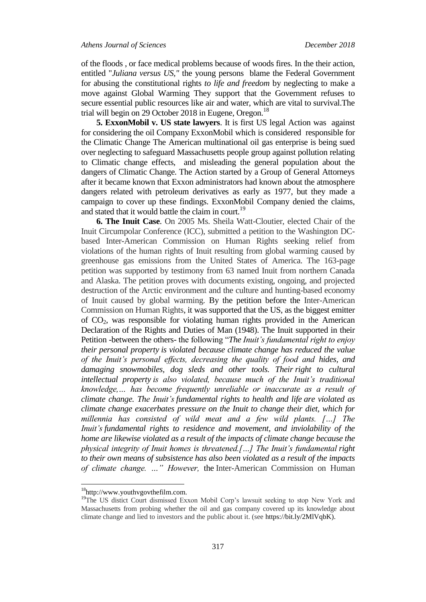of the floods , or face medical problems because of woods fires. In the their action, entitled "*Juliana versus US,"* the young persons blame the Federal Government for abusing the constitutional rights *to life and freedom* by neglecting to make a move against Global Warming They support that the Government refuses to secure essential public resources like air and water, which are vital to survival.The trial will begin on 29 October 2018 in Eugene, Oregon.<sup>18</sup>

**5. ExxonMobil v. US state lawyers**. It is first US legal Action was against for considering the oil Company ExxonMobil which is considered responsible for the Climatic Change The American multinational oil gas enterprise is being sued over neglecting to safeguard Massachusetts people group against pollution relating to Climatic change effects, and misleading the general population about the dangers of Climatic Change. The Action started by a Group of General Attorneys after it became known that Exxon administrators had known about the atmosphere dangers related with petroleum derivatives as early as 1977, but they made a campaign to cover up these findings. ExxonMobil Company denied the claims, and stated that it would battle the claim in court.<sup>19</sup>

**6. The Inuit Case**. On 2005 Ms. Sheila Watt-Cloutier, elected Chair of the Inuit Circumpolar Conference (ICC), submitted a petition to the Washington DCbased Inter-American Commission on Human Rights seeking relief from violations of the human rights of Inuit resulting from global warming caused by greenhouse gas emissions from the United States of America. The 163-page petition was supported by testimony from 63 named Inuit from northern Canada and Alaska. The petition proves with documents existing, ongoing, and projected destruction of the Arctic environment and the culture and hunting-based economy of Inuit caused by global warming. By the petition before the Inter-American Commission on Human Rights, it was supported that the US, as the biggest emitter of CO2, was responsible for violating human rights provided in the American Declaration of the Rights and Duties of Man (1948). The Inuit supported in their Petition -between the others- the following "*The Inuit's fundamental right to enjoy their personal property is violated because climate change has reduced the value of the Inuit's personal effects, decreasing the quality of food and hides, and damaging snowmobiles, dog sleds and other tools. Their right to cultural intellectual property is also violated, because much of the Inuit's traditional knowledge,… has become frequently unreliable or inaccurate as a result of climate change. The Inuit's fundamental rights to health and life are violated as climate change exacerbates pressure on the Inuit to change their diet, which for millennia has consisted of wild meat and a few wild plants. […] The Inuit's fundamental rights to residence and movement, and inviolability of the home are likewise violated as a result of the impacts of climate change because the physical integrity of Inuit homes is threatened.[…] The Inuit's fundamental right to their own means of subsistence has also been violated as a result of the impacts of climate change. …" However,* the Inter-American Commission on Human

<sup>&</sup>lt;sup>18</sup>http://www.youthvgovthefilm.com.

<sup>&</sup>lt;sup>19</sup>The US distict Court dismissed Exxon Mobil Corp's lawsuit seeking to stop New York and Massachusetts from probing whether the oil and gas company covered up its knowledge about climate change and lied to investors and the public about it. (see https://bit.ly/2MlVqbK).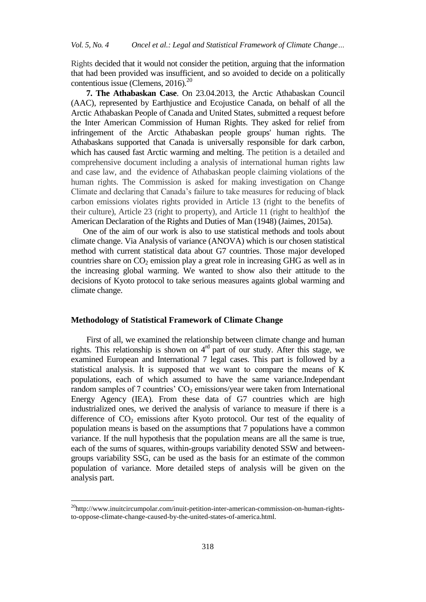Rights decided that it would not consider the petition, arguing that the information that had been provided was insufficient, and so avoided to decide on a politically contentious issue (Clemens,  $2016$ ).<sup>20</sup>

**7. The Athabaskan Case**. On 23.04.2013, the Arctic Athabaskan Council (AAC), represented by Earthjustice and Ecojustice Canada, on behalf of all the Arctic Athabaskan People of Canada and United States, submitted a request before the Inter American Commission of Human Rights. They asked for relief from infringement of the Arctic Athabaskan people groups' human rights. The Athabaskans supported that Canada is universally responsible for dark carbon, which has caused fast Arctic warming and melting. The petition is a detailed and comprehensive document including a analysis of international human rights law and case law, and the evidence of Athabaskan people claiming violations of the human rights. The Commission is asked for making investigation on Change Climate and declaring that Canada's failure to take measures for reducing of black carbon emissions violates rights provided in Article 13 (right to the benefits of their culture), Article 23 (right to property), and Article 11 (right to health)of the American Declaration of the Rights and Duties of Man (1948) (Jaimes, 2015a).

 One of the aim of our work is also to use statistical methods and tools about climate change. Via Analysis of variance (ANOVA) which is our chosen statistical method with current statistical data about G7 countries. Those major developed countries share on  $CO<sub>2</sub>$  emission play a great role in increasing GHG as well as in the increasing global warming. We wanted to show also their attitude to the decisions of Kyoto protocol to take serious measures againts global warming and climate change.

# **Methodology of Statistical Framework of Climate Change**

First of all, we examined the relationship between climate change and human rights. This relationship is shown on  $4<sup>rd</sup>$  part of our study. After this stage, we examined European and International 7 legal cases. This part is followed by a statistical analysis. İt is supposed that we want to compare the means of K populations, each of which assumed to have the same variance.Independant random samples of 7 countries'  $CO<sub>2</sub>$  emissions/year were taken from International Energy Agency (IEA). From these data of G7 countries which are high industrialized ones, we derived the analysis of variance to measure if there is a difference of  $CO<sub>2</sub>$  emissions after Kyoto protocol. Our test of the equality of population means is based on the assumptions that 7 populations have a common variance. If the null hypothesis that the population means are all the same is true, each of the sums of squares, within-groups variability denoted SSW and betweengroups variability SSG, can be used as the basis for an estimate of the common population of variance. More detailed steps of analysis will be given on the analysis part.

<sup>&</sup>lt;sup>20</sup>http://www.inuitcircumpolar.com/inuit-petition-inter-american-commission-on-human-rightsto-oppose-climate-change-caused-by-the-united-states-of-america.html.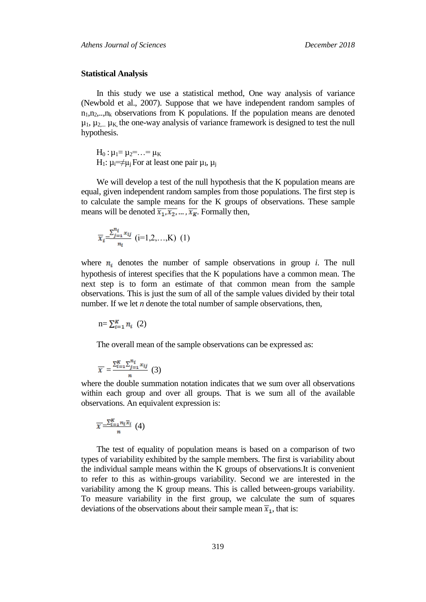#### **Statistical Analysis**

In this study we use a statistical method, One way analysis of variance (Newbold et al., 2007). Suppose that we have independent random samples of  $n_1, n_2, \ldots, n_k$  observations from K populations. If the population means are denoted  $\mu_1$ ,  $\mu_{2}$ ,  $\mu_K$  the one-way analysis of variance framework is designed to test the null hypothesis.

 $H_0$ :  $\mu_1 = \mu_2 = ... = \mu_K$ H<sub>1</sub>:  $\mu_i = \neq \mu_j$  For at least one pair  $\mu_I$ ,  $\mu_j$ 

We will develop a test of the null hypothesis that the K population means are equal, given independent random samples from those populations. The first step is to calculate the sample means for the K groups of observations. These sample means will be denoted  $\overline{x_1}, \overline{x_2}, \dots, \overline{x_k}$ . Formally then,

$$
\overline{x}_{i} = \frac{\sum_{j=1}^{n_{i}} x_{ij}}{n_{i}} \ (i=1,2,...,K) \ (1)
$$

where  $n_i$  denotes the number of sample observations in group *i*. The null hypothesis of interest specifies that the K populations have a common mean. The next step is to form an estimate of that common mean from the sample observations. This is just the sum of all of the sample values divided by their total number. If we let *n* denote the total number of sample observations, then,

$$
n = \sum_{i=1}^{K} n_i \tag{2}
$$

The overall mean of the sample observations can be expressed as:

$$
\overline{x} = \frac{\sum_{i=1}^{K} \sum_{j=1}^{n_i} x_{ij}}{n} \tag{3}
$$

where the double summation notation indicates that we sum over all observations within each group and over all groups. That is we sum all of the available observations. An equivalent expression is:

$$
\overline{x} = \frac{\sum_{i=1}^{K} n_i \overline{x}_i}{n} \tag{4}
$$

The test of equality of population means is based on a comparison of two types of variability exhibited by the sample members. The first is variability about the individual sample means within the K groups of observations.It is convenient to refer to this as within-groups variability. Second we are interested in the variability among the K group means. This is called between-groups variability. To measure variability in the first group, we calculate the sum of squares deviations of the observations about their sample mean  $\overline{x}_1$ , that is: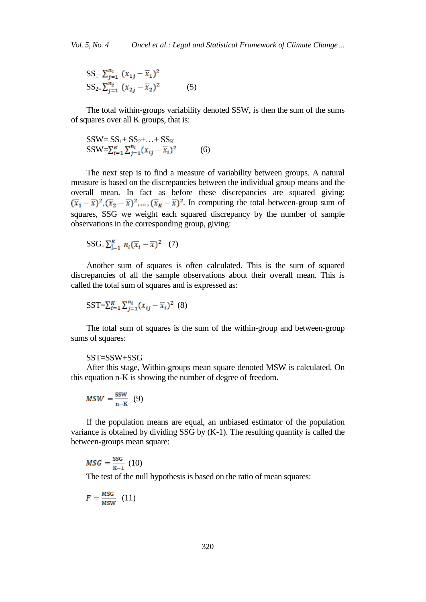$$
SS_{1} = \sum_{j=1}^{n_1} (x_{1j} - \overline{x}_1)^2
$$
  
\n
$$
SS_{2} = \sum_{j=1}^{n_2} (x_{2j} - \overline{x}_2)^2
$$
 (5)

The total within-groups variability denoted SSW, is then the sum of the sums of squares over all K groups, that is:

$$
SSW = SS_1 + SS_2 + ... + SS_K
$$
  
\n
$$
SSW = \sum_{i=1}^{K} \sum_{j=1}^{n_i} (x_{ij} - \overline{x}_i)^2
$$
 (6)

The next step is to find a measure of variability between groups. A natural measure is based on the discrepancies between the individual group means and the overall mean. In fact as before these discrepancies are squared giving:  $(\overline{x}_1 - \overline{x})^2$ ,  $(\overline{x}_2 - \overline{x})^2$ , ...,  $(\overline{x}_K - \overline{x})^2$ . In computing the total between-group sum of squares, SSG we weight each squared discrepancy by the number of sample observations in the corresponding group, giving:

$$
SSG = \sum_{i=1}^{K} n_i (\overline{x}_i - \overline{x})^2 \quad (7)
$$

Another sum of squares is often calculated. This is the sum of squared discrepancies of all the sample observations about their overall mean. This is called the total sum of squares and is expressed as:

$$
SST = \sum_{i=1}^{K} \sum_{j=1}^{n_i} (x_{ij} - \overline{x}_i)^2
$$
 (8)

The total sum of squares is the sum of the within-group and between-group sums of squares:

# SST=SSW+SSG

After this stage, Within-groups mean square denoted MSW is calculated. On this equation n-K is showing the number of degree of freedom.

$$
MSW = \frac{SSW}{n-K} \quad (9)
$$

If the population means are equal, an unbiased estimator of the population variance is obtained by dividing SSG by (K-1). The resulting quantity is called the between-groups mean square:

$$
MSG = \frac{\text{SSG}}{\text{K}-1} \ (10)
$$

The test of the null hypothesis is based on the ratio of mean squares:

$$
F = \frac{\text{MSG}}{\text{MSW}} \quad (11)
$$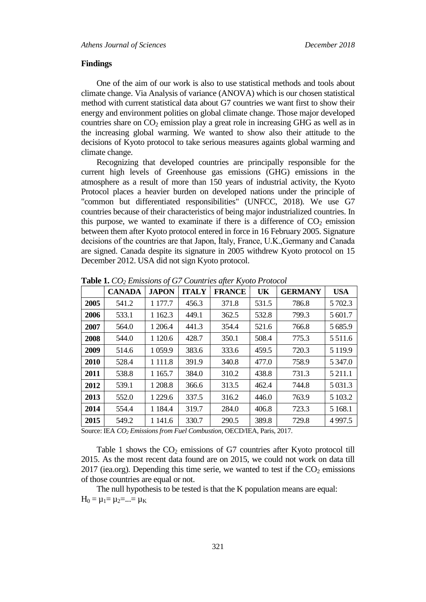# **Findings**

One of the aim of our work is also to use statistical methods and tools about climate change. Via Analysis of variance (ANOVA) which is our chosen statistical method with current statistical data about G7 countries we want first to show their energy and environment polities on global climate change. Those major developed countries share on  $CO<sub>2</sub>$  emission play a great role in increasing GHG as well as in the increasing global warming. We wanted to show also their attitude to the decisions of Kyoto protocol to take serious measures againts global warming and climate change.

Recognizing that developed countries are principally responsible for the current high levels of Greenhouse gas emissions (GHG) emissions in the atmosphere as a result of more than 150 years of industrial activity, the Kyoto Protocol places a heavier burden on developed nations under the principle of "common but differentiated responsibilities" (UNFCC, 2018). We use G7 countries because of their characteristics of being major industrialized countries. In this purpose, we wanted to examinate if there is a difference of  $CO<sub>2</sub>$  emission between them after Kyoto protocol entered in force in 16 February 2005. Signature decisions of the countries are that Japon, İtaly, France, U.K.,Germany and Canada are signed. Canada despite its signature in 2005 withdrew Kyoto protocol on 15 December 2012. USA did not sign Kyoto protocol.

|      | <b>CANADA</b> | <b>JAPON</b> | <b>ITALY</b> | <b>FRANCE</b> | UK    | <b>GERMANY</b> | <b>USA</b>  |
|------|---------------|--------------|--------------|---------------|-------|----------------|-------------|
| 2005 | 541.2         | 1 177.7      | 456.3        | 371.8         | 531.5 | 786.8          | 5 702.3     |
| 2006 | 533.1         | 1 1 6 2.3    | 449.1        | 362.5         | 532.8 | 799.3          | 5 601.7     |
| 2007 | 564.0         | 1 206.4      | 441.3        | 354.4         | 521.6 | 766.8          | 5 685.9     |
| 2008 | 544.0         | 1 1 2 0.6    | 428.7        | 350.1         | 508.4 | 775.3          | 5 5 1 1.6   |
| 2009 | 514.6         | 1 0 5 9.9    | 383.6        | 333.6         | 459.5 | 720.3          | 5 1 1 9 .9  |
| 2010 | 528.4         | 1 1 1 1 .8   | 391.9        | 340.8         | 477.0 | 758.9          | 5 3 4 7 .0  |
| 2011 | 538.8         | 1 1 65.7     | 384.0        | 310.2         | 438.8 | 731.3          | 5 2 1 1 .1  |
| 2012 | 539.1         | 1 208.8      | 366.6        | 313.5         | 462.4 | 744.8          | 5 0 3 1 . 3 |
| 2013 | 552.0         | 1 2 2 9 . 6  | 337.5        | 316.2         | 446.0 | 763.9          | 5 103.2     |
| 2014 | 554.4         | 1 1 8 4 .4   | 319.7        | 284.0         | 406.8 | 723.3          | 5 1 68.1    |
| 2015 | 549.2         | 1 141.6      | 330.7        | 290.5         | 389.8 | 729.8          | 4 9 9 7.5   |

**Table 1.** *CO<sup>2</sup> Emissions of G7 Countries after Kyoto Protocol*

Source: IEA *CO<sup>2</sup> Emissions from Fuel Combustion*, OECD/IEA, Paris, 2017.

Table 1 shows the  $CO<sub>2</sub>$  emissions of G7 countries after Kyoto protocol till 2015. As the most recent data found are on 2015, we could not work on data till 2017 (iea.org). Depending this time serie, we wanted to test if the  $CO<sub>2</sub>$  emissions of those countries are equal or not.

The null hypothesis to be tested is that the K population means are equal:  $H_0 = \mu_1 = \mu_2 = ... = \mu_K$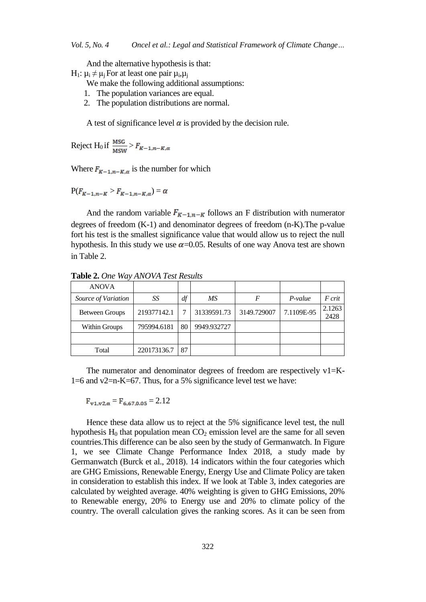And the alternative hypothesis is that:

- H<sub>1</sub>: μ<sub>i</sub>  $\neq$  μ<sub>j</sub> For at least one pair μ<sub>i</sub>,μ<sub>j</sub>
	- We make the following additional assumptions:
	- 1. The population variances are equal.
	- 2. The population distributions are normal.

A test of significance level  $\alpha$  is provided by the decision rule.

Reject H<sub>0</sub> if  $\frac{\text{MSG}}{\text{MSW}} > F_{K-1,n-K,\alpha}$ 

Where  $F_{K-1,n-K,\alpha}$  is the number for which

 $P(F_{K-1,n-K} > F_{K-1,n-K,\alpha}) = \alpha$ 

And the random variable  $F_{K-1,n-K}$  follows an F distribution with numerator degrees of freedom (K-1) and denominator degrees of freedom (n-K).The p-value fort his test is the smallest significance value that would allow us to reject the null hypothesis. In this study we use  $\alpha$ =0.05. Results of one way Anova test are shown in Table 2.

| <b>ANOVA</b>        |             |    |             |             |            |                |
|---------------------|-------------|----|-------------|-------------|------------|----------------|
| Source of Variation | SS          | df | MS          |             | $P-value$  | F crit         |
| Between Groups      | 219377142.1 |    | 31339591.73 | 3149.729007 | 7.1109E-95 | 2.1263<br>2428 |
| Within Groups       | 795994.6181 | 80 | 9949.932727 |             |            |                |
|                     |             |    |             |             |            |                |
| Total               | 220173136.7 | 87 |             |             |            |                |

**Table 2.** *One Way ANOVA Test Results*

The numerator and denominator degrees of freedom are respectively  $v1=K-$ 1=6 and v2=n-K=67. Thus, for a 5% significance level test we have:

 $F_{\mathbf{v1}.\mathbf{v2}.\alpha} = F_{6.67,0.05} = 2.12$ 

Hence these data allow us to reject at the 5% significance level test, the null hypothesis  $H_0$  that population mean  $CO_2$  emission level are the same for all seven countries.This difference can be also seen by the study of Germanwatch. In Figure 1, we see Climate Change Performance Index 2018, a study made by Germanwatch (Burck et al., 2018). 14 indicators within the four categories which are GHG Emissions, Renewable Energy, Energy Use and Climate Policy are taken in consideration to establish this index. If we look at Table 3, index categories are calculated by weighted average. 40% weighting is given to GHG Emissions, 20% to Renewable energy, 20% to Energy use and 20% to climate policy of the country. The overall calculation gives the ranking scores. As it can be seen from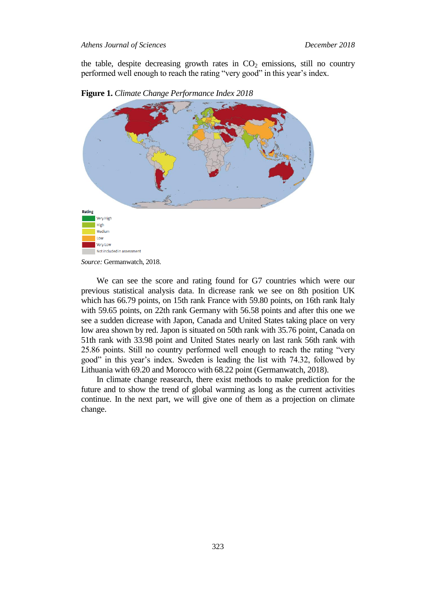the table, despite decreasing growth rates in  $CO<sub>2</sub>$  emissions, still no country performed well enough to reach the rating "very good" in this year's index.





We can see the score and rating found for G7 countries which were our previous statistical analysis data. In dicrease rank we see on 8th position UK which has 66.79 points, on 15th rank France with 59.80 points, on 16th rank Italy with 59.65 points, on 22th rank Germany with 56.58 points and after this one we see a sudden dicrease with Japon, Canada and United States taking place on very low area shown by red. Japon is situated on 50th rank with 35.76 point, Canada on 51th rank with 33.98 point and United States nearly on last rank 56th rank with 25.86 points. Still no country performed well enough to reach the rating "very good" in this year's index. Sweden is leading the list with 74.32, followed by Lithuania with 69.20 and Morocco with 68.22 point (Germanwatch, 2018).

In climate change reasearch, there exist methods to make prediction for the future and to show the trend of global warming as long as the current activities continue. In the next part, we will give one of them as a projection on climate change.

*Source:* Germanwatch, 2018.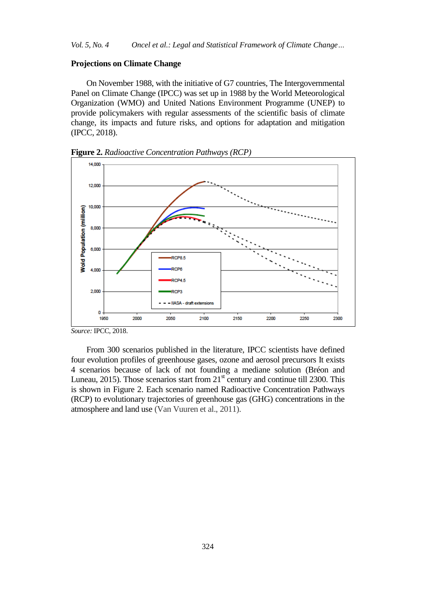# **Projections on Climate Change**

On November 1988, with the initiative of G7 countries, The Intergovernmental Panel on Climate Change (IPCC) was set up in 1988 by the World Meteorological Organization (WMO) and United Nations Environment Programme (UNEP) to provide policymakers with regular assessments of the scientific basis of climate change, its impacts and future risks, and options for adaptation and mitigation (IPCC, 2018).



**Figure 2.** *Radioactive Concentration Pathways (RCP)*

From 300 scenarios published in the literature, IPCC scientists have defined four evolution profiles of greenhouse gases, ozone and aerosol precursors It exists 4 scenarios because of lack of not founding a mediane solution (Bréon and Luneau, 2015). Those scenarios start from  $21<sup>st</sup>$  century and continue till 2300. This is shown in Figure 2. Each scenario named Radioactive Concentration Pathways (RCP) to evolutionary trajectories of greenhouse gas (GHG) concentrations in the atmosphere and land use (Van Vuuren et al., 2011).

*Source:* IPCC, 2018.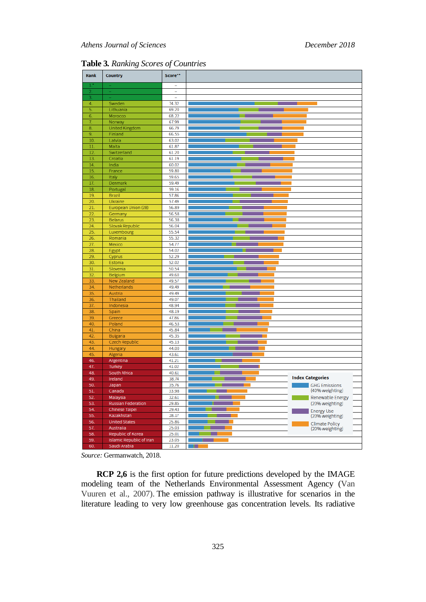| Rank           | <b>Country</b>           | Score**                  |                                      |
|----------------|--------------------------|--------------------------|--------------------------------------|
| ı              |                          | $\overline{\phantom{a}}$ |                                      |
| $\overline{2}$ |                          | $\overline{\phantom{a}}$ |                                      |
| 3.             |                          |                          |                                      |
| 4.             | Sweden                   | 74.32                    |                                      |
| 5.             | Lithuania                | 69.20                    |                                      |
| 6.             | Morocco                  | 68.22                    |                                      |
| 7.             | Norway                   | 67.99                    |                                      |
| 8.             | United Kingdom           | 66.79                    |                                      |
| 9.             | Finland                  | 66.55                    |                                      |
| 10.            | Latvia                   | 63.02                    |                                      |
| 11.<br>12.     | Malta                    | 61.87                    |                                      |
| 13.            | Switzerland<br>Croatia   | 61.20<br>61.19           |                                      |
| 14.            | India                    | 60.02                    |                                      |
| 15.            | France                   | 59.80                    |                                      |
| 16.            | Italy                    | 59.65                    |                                      |
| 17.            | Denmark                  | 59.49                    |                                      |
| 18.            | Portugal                 | 59.16                    |                                      |
| 19.            | <b>Brazil</b>            | 57.86                    |                                      |
| 20.            | Ukraine                  | 57.49                    |                                      |
| 21.            | European Union (28)      | 56.89                    |                                      |
| 22.            | Germany                  | 56.58                    |                                      |
| 23.            | <b>Belarus</b>           | 56.38                    |                                      |
| 24.            | Slovak Republic          | 56.04                    |                                      |
| 25.            | Luxembourg               | 55.54                    |                                      |
| 26.            | Romania                  | 55.32                    |                                      |
| 27.            | Mexico                   | 54.77                    |                                      |
| 28.            | Egypt                    | 54.02                    |                                      |
| 29.            | Cyprus                   | 52.29                    |                                      |
| 30.            | Estonia                  | 52.02                    |                                      |
| 31.            | Slovenia                 | 50.54                    |                                      |
| 32.            | Belgium                  | 49.60                    |                                      |
| 33.            | <b>New Zealand</b>       | 49.57                    |                                      |
| 34.            | Netherlands              | 49.49                    |                                      |
| 35.            | Austria                  | 49.49                    |                                      |
| 36.            | Thailand                 | 49.07                    |                                      |
| 37.            | Indonesia                | 48.94                    |                                      |
| 38.            | Spain                    | 48.19                    |                                      |
| 39.            | Greece                   | 47.86                    |                                      |
| 40.            | Poland                   | 46.53                    |                                      |
| 41.            | China                    | 45.84                    |                                      |
| 42.            | <b>Bulgaria</b>          | 45.35                    |                                      |
| 43.            | Czech Republic           | 45.13                    |                                      |
| 44.            | Hungary                  | 44.00                    |                                      |
| 45.<br>46.     | Algeria                  | 43.61                    |                                      |
| 47.            | Argentina                | 41.21<br>41.02           |                                      |
| 48.            | Turkey<br>South Africa   | 40.61                    |                                      |
| 49.            | Ireland                  | 38.74                    | <b>Index Categories</b>              |
| 50.            | Japan                    | 35.76                    | <b>GHG Emissions</b>                 |
| 51.            | Canada                   | 33.98                    | (40% weighting)                      |
| 52.            | Malaysia                 | 32.61                    | Renewable Energy                     |
| 53.            | Russian Federation       | 29.85                    | (20% weighting)                      |
| 54.            | Chinese Taipei           | 29.43                    |                                      |
| 55.            | Kazakhstan               | 28.17                    | <b>Energy Use</b><br>(20% weighting) |
| 56.            | <b>United States</b>     | 25.86                    |                                      |
| 57.            | Australia                | 25.03                    | Climate Policy<br>(20% weighting)    |
| 58.            | Republic of Korea        | 25.01                    |                                      |
| 59.            | Islamic Republic of Iran | 23.05                    |                                      |
| 60.            | Saudi Arabia             | 11.20                    |                                      |
|                |                          |                          |                                      |

**Table 3***. Ranking Scores of Countries*

*Source:* Germanwatch, 2018.

**RCP 2,6** is the first option for future predictions developed by the IMAGE modeling team of the Netherlands Environmental Assessment Agency (Van Vuuren et al., 2007). The emission pathway is illustrative for scenarios in the literature leading to very low greenhouse gas concentration levels. Its radiative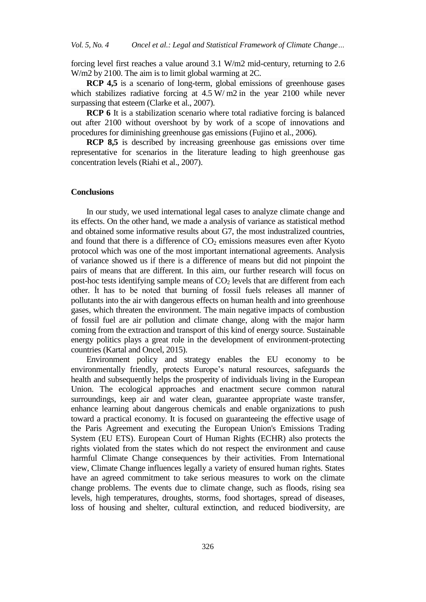forcing level first reaches a value around 3.1 W/m2 mid-century, returning to 2.6 W/m2 by 2100. The aim is to limit global warming at 2C.

**RCP 4,5** is a scenario of long-term, global emissions of greenhouse gases which stabilizes radiative forcing at  $4.5 \text{ W/m2}$  in the year 2100 while never surpassing that esteem (Clarke et al., 2007).

**RCP 6** It is a stabilization scenario where total radiative forcing is balanced out after 2100 without overshoot by by work of a scope of innovations and procedures for diminishing greenhouse gas emissions (Fujino et al., 2006).

**RCP 8,5** is described by increasing greenhouse gas emissions over time representative for scenarios in the literature leading to high greenhouse gas concentration levels (Riahi et al., 2007).

# **Conclusions**

In our study, we used international legal cases to analyze climate change and its effects. On the other hand, we made a analysis of variance as statistical method and obtained some informative results about G7, the most industralized countries, and found that there is a difference of  $CO<sub>2</sub>$  emissions measures even after Kyoto protocol which was one of the most important international agreements. Analysis of variance showed us if there is a difference of means but did not pinpoint the pairs of means that are different. In this aim, our further research will focus on post-hoc tests identifying sample means of  $CO<sub>2</sub>$  levels that are different from each other. İt has to be noted that burning of fossil fuels releases all manner of pollutants into the air with dangerous effects on human health and into greenhouse gases, which threaten the environment. The main negative impacts of combustion of fossil fuel are air pollution and climate change, along with the major harm coming from the extraction and transport of this kind of energy source. Sustainable energy politics plays a great role in the development of environment-protecting countries (Kartal and Oncel, 2015).

Environment policy and strategy enables the EU economy to be environmentally friendly, protects Europe's natural resources, safeguards the health and subsequently helps the prosperity of individuals living in the European Union. The ecological approaches and enactment secure common natural surroundings, keep air and water clean, guarantee appropriate waste transfer, enhance learning about dangerous chemicals and enable organizations to push toward a practical economy. It is focused on guaranteeing the effective usage of the Paris Agreement and executing the European Union's Emissions Trading System (EU ETS). European Court of Human Rights (ECHR) also protects the rights violated from the states which do not respect the environment and cause harmful Climate Change consequences by their activities. From International view, Climate Change influences legally a variety of ensured human rights. States have an agreed commitment to take serious measures to work on the climate change problems. The events due to climate change, such as floods, rising sea levels, high temperatures, droughts, storms, food shortages, spread of diseases, loss of housing and shelter, cultural extinction, and reduced biodiversity, are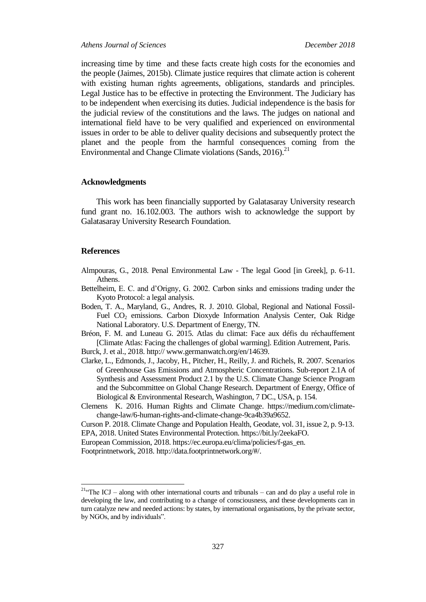*Athens Journal of Sciences December 2018*

increasing time by time and these facts create high costs for the economies and the people (Jaimes, 2015b). Climate justice requires that climate action is coherent with existing human rights agreements, obligations, standards and principles. Legal Justice has to be effective in protecting the Environment. The Judiciary has to be independent when exercising its duties. Judicial independence is the basis for the judicial review of the constitutions and the laws. The judges on national and international field have to be very qualified and experienced on environmental issues in order to be able to deliver quality decisions and subsequently protect the planet and the people from the harmful consequences coming from the Environmental and Change Climate violations (Sands, 2016).<sup>21</sup>

## **Acknowledgments**

This work has been financially supported by Galatasaray University research fund grant no. 16.102.003. The authors wish to acknowledge the support by Galatasaray University Research Foundation.

## **References**

 $\overline{a}$ 

Almpouras, G., 2018. Penal Environmental Law - The legal Good [in Greek], p. 6-11. Athens.

- Bettelheim, E. C. and d'Origny, G. 2002. Carbon sinks and emissions trading under the Kyoto Protocol: a legal analysis.
- Boden, T. A., Maryland, G., Andres, R. J. 2010. Global, Regional and National Fossil-Fuel CO<sub>2</sub> emissions. Carbon Dioxyde Information Analysis Center, Oak Ridge National Laboratory. U.S. Department of Energy, TN.

Bréon, F. M. and Luneau G. 2015. Atlas du climat: Face aux défis du réchauffement [Climate Atlas: Facing the challenges of global warming]. Edition Autrement, Paris.

Burck, J. et al., 2018. http:// www.germanwatch.org/en/14639.

Clarke, L., Edmonds, J., Jacoby, H., Pitcher, H., Reilly, J. and Richels, R. 2007. Scenarios of Greenhouse Gas Emissions and Atmospheric Concentrations. Sub-report 2.1A of Synthesis and Assessment Product 2.1 by the U.S. Climate Change Science Program and the Subcommittee on Global Change Research. Department of Energy, Office of Biological & Environmental Research, Washington, 7 DC., USA, p. 154.

Clemens K. 2016. Human Rights and Climate Change. https://medium.com/climatechange-law/6-human-rights-and-climate-change-9ca4b39a9652.

Curson P. 2018. Climate Change and Population Health, Geodate, vol. 31, issue 2, p. 9-13. EPA, 2018. United States Environmental Protection. https://bit.ly/2eekaFO.

European Commission, 2018. https://ec.europa.eu/clima/policies/f-gas\_en.

Footprintnetwork, 2018. [http://data.footprintnetwork.org/#/.](http://data.footprintnetwork.org/#/)

<sup>&</sup>lt;sup>21.</sup> The ICJ – along with other international courts and tribunals – can and do play a useful role in developing the law, and contributing to a change of consciousness, and these developments can in turn catalyze new and needed actions: by states, by international organisations, by the private sector, by NGOs, and by individuals".